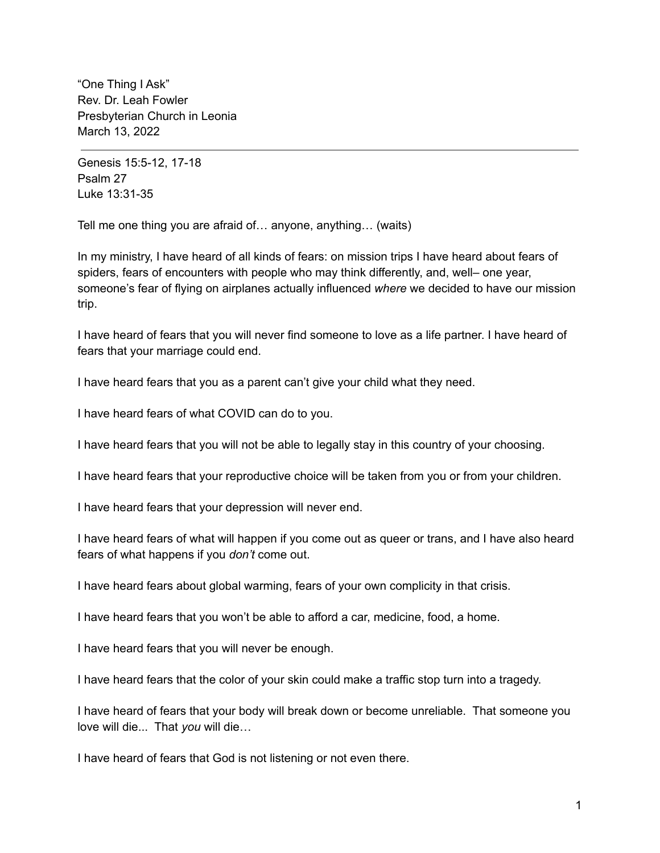"One Thing I Ask" Rev. Dr. Leah Fowler Presbyterian Church in Leonia March 13, 2022

Genesis 15:5-12, 17-18 Psalm 27 Luke 13:31-35

Tell me one thing you are afraid of… anyone, anything… (waits)

In my ministry, I have heard of all kinds of fears: on mission trips I have heard about fears of spiders, fears of encounters with people who may think differently, and, well– one year, someone's fear of flying on airplanes actually influenced *where* we decided to have our mission trip.

I have heard of fears that you will never find someone to love as a life partner. I have heard of fears that your marriage could end.

I have heard fears that you as a parent can't give your child what they need.

I have heard fears of what COVID can do to you.

I have heard fears that you will not be able to legally stay in this country of your choosing.

I have heard fears that your reproductive choice will be taken from you or from your children.

I have heard fears that your depression will never end.

I have heard fears of what will happen if you come out as queer or trans, and I have also heard fears of what happens if you *don't* come out.

I have heard fears about global warming, fears of your own complicity in that crisis.

I have heard fears that you won't be able to afford a car, medicine, food, a home.

I have heard fears that you will never be enough.

I have heard fears that the color of your skin could make a traffic stop turn into a tragedy.

I have heard of fears that your body will break down or become unreliable. That someone you love will die... That *you* will die…

I have heard of fears that God is not listening or not even there.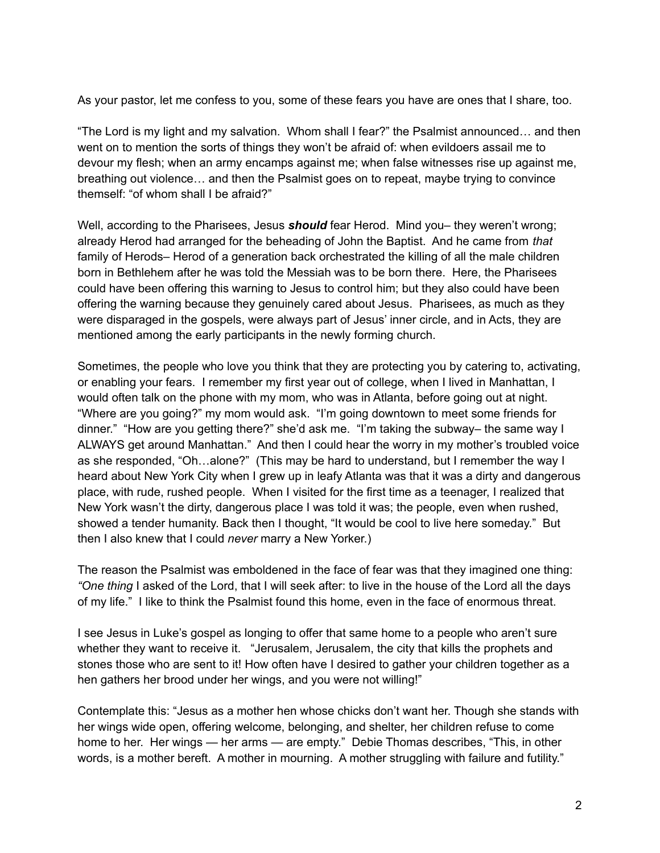As your pastor, let me confess to you, some of these fears you have are ones that I share, too.

"The Lord is my light and my salvation. Whom shall I fear?" the Psalmist announced… and then went on to mention the sorts of things they won't be afraid of: when evildoers assail me to devour my flesh; when an army encamps against me; when false witnesses rise up against me, breathing out violence… and then the Psalmist goes on to repeat, maybe trying to convince themself: "of whom shall I be afraid?"

Well, according to the Pharisees, Jesus **should** fear Herod. Mind you– they weren't wrong; already Herod had arranged for the beheading of John the Baptist. And he came from *that* family of Herods– Herod of a generation back orchestrated the killing of all the male children born in Bethlehem after he was told the Messiah was to be born there. Here, the Pharisees could have been offering this warning to Jesus to control him; but they also could have been offering the warning because they genuinely cared about Jesus. Pharisees, as much as they were disparaged in the gospels, were always part of Jesus' inner circle, and in Acts, they are mentioned among the early participants in the newly forming church.

Sometimes, the people who love you think that they are protecting you by catering to, activating, or enabling your fears. I remember my first year out of college, when I lived in Manhattan, I would often talk on the phone with my mom, who was in Atlanta, before going out at night. "Where are you going?" my mom would ask. "I'm going downtown to meet some friends for dinner." "How are you getting there?" she'd ask me. "I'm taking the subway– the same way I ALWAYS get around Manhattan." And then I could hear the worry in my mother's troubled voice as she responded, "Oh…alone?" (This may be hard to understand, but I remember the way I heard about New York City when I grew up in leafy Atlanta was that it was a dirty and dangerous place, with rude, rushed people. When I visited for the first time as a teenager, I realized that New York wasn't the dirty, dangerous place I was told it was; the people, even when rushed, showed a tender humanity. Back then I thought, "It would be cool to live here someday." But then I also knew that I could *never* marry a New Yorker.)

The reason the Psalmist was emboldened in the face of fear was that they imagined one thing: *"One thing* I asked of the Lord, that I will seek after: to live in the house of the Lord all the days of my life." I like to think the Psalmist found this home, even in the face of enormous threat.

I see Jesus in Luke's gospel as longing to offer that same home to a people who aren't sure whether they want to receive it. "Jerusalem, Jerusalem, the city that kills the prophets and stones those who are sent to it! How often have I desired to gather your children together as a hen gathers her brood under her wings, and you were not willing!"

Contemplate this: "Jesus as a mother hen whose chicks don't want her. Though she stands with her wings wide open, offering welcome, belonging, and shelter, her children refuse to come home to her. Her wings — her arms — are empty." Debie Thomas describes, "This, in other words, is a mother bereft. A mother in mourning. A mother struggling with failure and futility."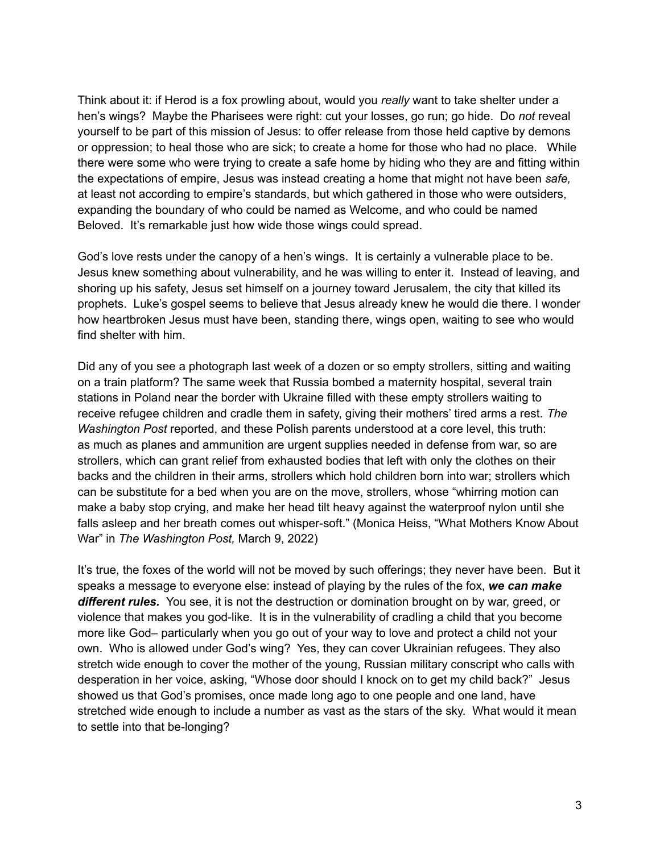Think about it: if Herod is a fox prowling about, would you *really* want to take shelter under a hen's wings? Maybe the Pharisees were right: cut your losses, go run; go hide. Do *not* reveal yourself to be part of this mission of Jesus: to offer release from those held captive by demons or oppression; to heal those who are sick; to create a home for those who had no place. While there were some who were trying to create a safe home by hiding who they are and fitting within the expectations of empire, Jesus was instead creating a home that might not have been *safe,* at least not according to empire's standards, but which gathered in those who were outsiders, expanding the boundary of who could be named as Welcome, and who could be named Beloved. It's remarkable just how wide those wings could spread.

God's love rests under the canopy of a hen's wings. It is certainly a vulnerable place to be. Jesus knew something about vulnerability, and he was willing to enter it. Instead of leaving, and shoring up his safety, Jesus set himself on a journey toward Jerusalem, the city that killed its prophets. Luke's gospel seems to believe that Jesus already knew he would die there. I wonder how heartbroken Jesus must have been, standing there, wings open, waiting to see who would find shelter with him.

Did any of you see a photograph last week of a dozen or so empty strollers, sitting and waiting on a train platform? The same week that Russia bombed a maternity hospital, several train stations in Poland near the border with Ukraine filled with these empty strollers waiting to receive refugee children and cradle them in safety, giving their mothers' tired arms a rest. *The Washington Post* reported, and these Polish parents understood at a core level, this truth: as much as planes and ammunition are urgent supplies needed in defense from war, so are strollers, which can grant relief from exhausted bodies that left with only the clothes on their backs and the children in their arms, strollers which hold children born into war; strollers which can be substitute for a bed when you are on the move, strollers, whose "whirring motion can make a baby stop crying, and make her head tilt heavy against the waterproof nylon until she falls asleep and her breath comes out whisper-soft." (Monica Heiss, "What Mothers Know About War" in *The Washington Post,* March 9, 2022)

It's true, the foxes of the world will not be moved by such offerings; they never have been. But it speaks a message to everyone else: instead of playing by the rules of the fox, *we can make different rules.* You see, it is not the destruction or domination brought on by war, greed, or violence that makes you god-like. It is in the vulnerability of cradling a child that you become more like God– particularly when you go out of your way to love and protect a child not your own. Who is allowed under God's wing? Yes, they can cover Ukrainian refugees. They also stretch wide enough to cover the mother of the young, Russian military conscript who calls with desperation in her voice, asking, "Whose door should I knock on to get my child back?" Jesus showed us that God's promises, once made long ago to one people and one land, have stretched wide enough to include a number as vast as the stars of the sky. What would it mean to settle into that be-longing?